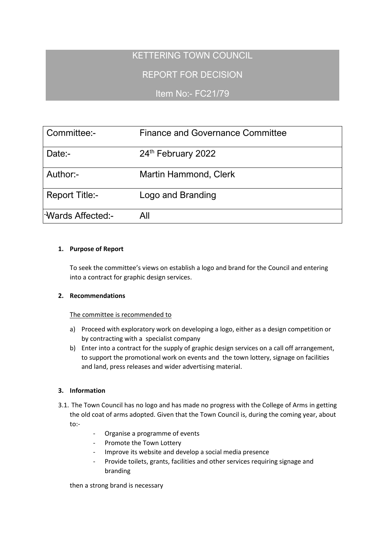# KETTERING TOWN COUNCIL

## REPORT FOR DECISION

## Item No:- FC21/79

| Committee:-           | <b>Finance and Governance Committee</b> |
|-----------------------|-----------------------------------------|
| Date:-                | 24th February 2022                      |
| Author:-              | <b>Martin Hammond, Clerk</b>            |
| <b>Report Title:-</b> | Logo and Branding                       |
| l Wards Affected:-    | All                                     |

## **1. Purpose of Report**

To seek the committee's views on establish a logo and brand for the Council and entering into a contract for graphic design services.

#### **2. Recommendations**

#### The committee is recommended to

- a) Proceed with exploratory work on developing a logo, either as a design competition or by contracting with a specialist company
- b) Enter into a contract for the supply of graphic design services on a call off arrangement, to support the promotional work on events and the town lottery, signage on facilities and land, press releases and wider advertising material.

## **3. Information**

- 3.1. The Town Council has no logo and has made no progress with the College of Arms in getting the old coat of arms adopted. Given that the Town Council is, during the coming year, about to:-
	- Organise a programme of events
	- Promote the Town Lottery
	- Improve its website and develop a social media presence
	- Provide toilets, grants, facilities and other services requiring signage and branding

then a strong brand is necessary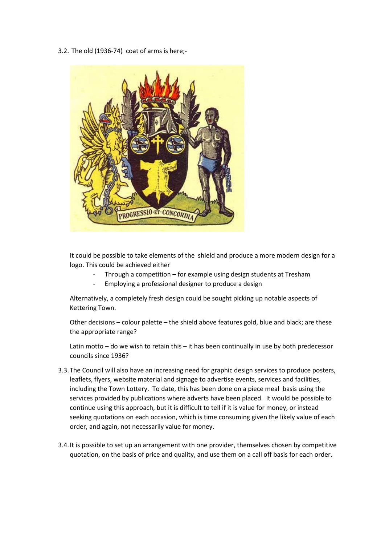3.2. The old (1936-74) coat of arms is here;-



It could be possible to take elements of the shield and produce a more modern design for a logo. This could be achieved either

- Through a competition for example using design students at Tresham
- Employing a professional designer to produce a design

Alternatively, a completely fresh design could be sought picking up notable aspects of Kettering Town.

Other decisions – colour palette – the shield above features gold, blue and black; are these the appropriate range?

Latin motto – do we wish to retain this – it has been continually in use by both predecessor councils since 1936?

- 3.3.The Council will also have an increasing need for graphic design services to produce posters, leaflets, flyers, website material and signage to advertise events, services and facilities, including the Town Lottery. To date, this has been done on a piece meal basis using the services provided by publications where adverts have been placed. It would be possible to continue using this approach, but it is difficult to tell if it is value for money, or instead seeking quotations on each occasion, which is time consuming given the likely value of each order, and again, not necessarily value for money.
- 3.4.It is possible to set up an arrangement with one provider, themselves chosen by competitive quotation, on the basis of price and quality, and use them on a call off basis for each order.